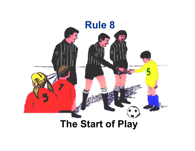

# **The Start of Play**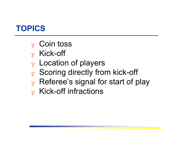# **TOPICS**

- $_{\rm y}$  Coin toss
- ❖ Kick-off
- ❖ Location of players
- ❖ Scoring directly from kick-off
- $\mathbf y$  Referee's signal for start of play
- $\mathbf y$  Kick-off infractions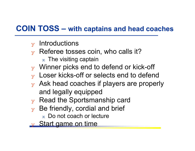#### **COIN TOSS – with captains and head coaches**

- $\mathbf y$  Introductions
- $\mathbf y$  Referee tosses coin, who calls it?
	- $_\mathrm{\text{x}}\,$  The visiting captain
- $\mathbf y$  Winner picks end to defend or kick-off
- $\mathbf y$  Loser kicks-off or selects end to defend
- $\mathbf y$  Ask head coaches if players are properly and legally equipped
- $\mathbf y$  Read the Sportsmanship card
- $\mathbf y$  Be friendly, cordial and brief
	- $\mathrm{\mathbf{\mathbf{x}}}$  Do not coach or lecture
- y Start game on time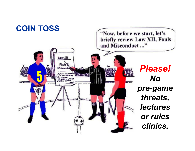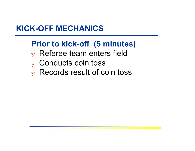#### **KICK-OFF MECHANICS**

## **Prior to kick-off (5 minutes)**

- $\mathbf y$  Referee team enters field
- ❖ Conducts coin toss
- ❖ Records result of coin toss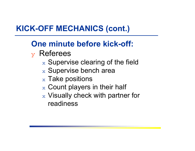# **KICK-OFF MECHANICS (cont.)**

# **One minute before kick-off:**

## $\mathbf y$  Referees

- $\mathrm{\mathbf{x}}\,$  Supervise clearing of the field
- $\mathrm{\mathbf{x}}\,$  Supervise bench area
- $\rm{_{x}}$  Take positions
- $_\mathrm{\text{x}}$  Count players in their half
- $_\mathrm{\text{x}}$  Visually check with partner for readiness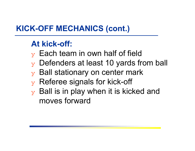# **KICK-OFF MECHANICS (cont.)**

#### **At kick-off:**

- $\mathbf y$  Each team in own half of field
- $\mathbf y$  Defenders at least 10 yards from ball
- $\mathbf y$  Ball stationary on center mark
- $\mathbf y$  Referee signals for kick-off
- $\mathbf y$  Ball is in play when it is kicked and moves forward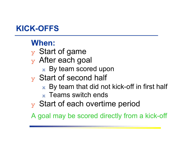# **KICK-OFFS**

### **When:**

- $\mathbf y$  Start of game
- $\mathbf y$  After each goal
	- $\mathrm{\mathbf{x}}\,$  By team scored upon
- $\mathbf y$  Start of second half
	- $\mathrm{\mathbf{x}}\,$  By team that did not kick-off in first half
	- $_\mathrm{\textnormal{x}}\,$  Teams switch ends
- $\overline{y}$  Start of each overtime period

A goal may be scored directly from a kick-off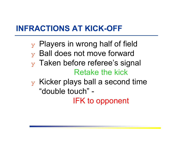## **INFRACTIONS AT KICK-OFF**

- $\mathbf y$  Players in wrong half of field
- ❖ Ball does not move forward
- $\mathbf y$  Taken before referee's signal Retake the kick
- $\mathbf y$  Kicker plays ball a second time "double touch" -

IFK to opponent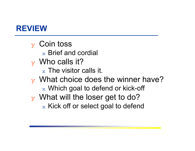#### **REVIEW**

 $_{\rm y}$  Coin toss  $_\mathrm{\textnormal{x}}$  Brief and cordial  $\mathbf y$  Who calls it?  $_\mathrm{\text{x}}$  The visitor calls it.  $\mathbf y$  What choice does the winner have?  $\rm{_{\rm x}}$  Which goal to defend or kick-off ❖ What will the loser get to do?  $\rm{_{x}}$  Kick off or select goal to defend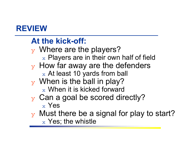### **REVIEW**

## **At the kick-off:**

- $\mathbf y$  Where are the players?  $\rm{_{\rm x}}$  Players are in their own half of field
- $\mathbf y$  How far away are the defenders
	- $_\mathrm{\text{x}}$  At least 10 yards from ball
- $\mathbf y$  When is the ball in play?
	- $_\mathrm{\text{x}}$  When it is kicked forward
- $\mathbf y$  Can a goal be scored directly?
	- $_\mathrm{x}$  Yes
- $\gamma$  Must there be a signal for play to start?
	- $_\mathrm{\text{x}}$  Yes; the whistle